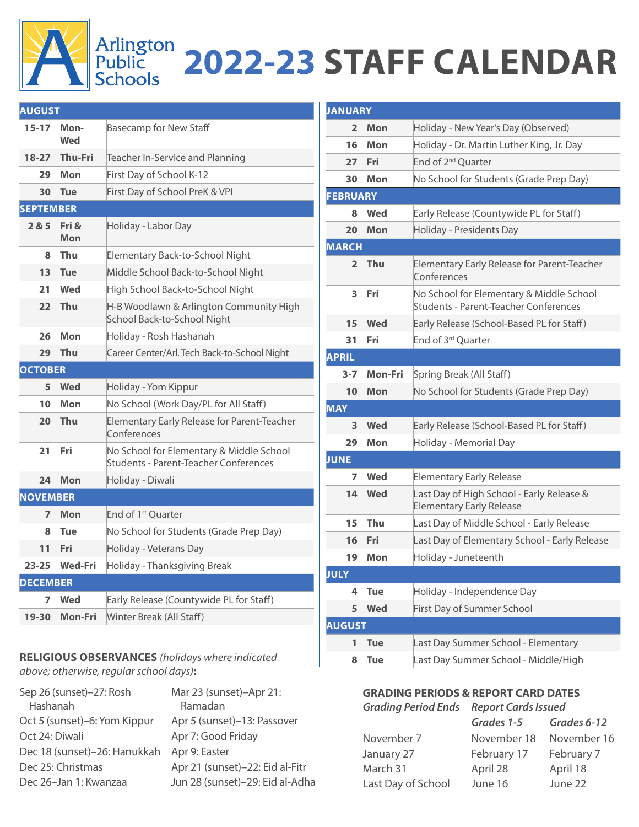## Arlington<br>Public 2022-23 STAFF CALENDAR<br>Schools

| <b>AUGUST</b>    |                |                                                                                   |
|------------------|----------------|-----------------------------------------------------------------------------------|
| $15 - 17$        | Mon-<br>Wed    | <b>Basecamp for New Staff</b>                                                     |
| $18-27$          | <b>Thu-Fri</b> | Teacher In-Service and Planning                                                   |
| 29               | Mon            | First Day of School K-12                                                          |
| 30               | Tue            | First Day of School PreK & VPI                                                    |
| <b>SEPTEMBER</b> |                |                                                                                   |
| 285              | Fri &<br>Mon   | Holiday - Labor Day                                                               |
| 8                | Thu            | Elementary Back-to-School Night                                                   |
| 13               | <b>Tue</b>     | Middle School Back-to-School Night                                                |
| 21               | Wed            | High School Back-to-School Night                                                  |
| 22               | Thu            | H-B Woodlawn & Arlington Community High<br>School Back-to-School Night            |
| 26               | Mon            | Holiday - Rosh Hashanah                                                           |
| 29               | Thu            | Career Center/Arl. Tech Back-to-School Night                                      |
| <b>OCTOBER</b>   |                |                                                                                   |
| 5                | <b>Wed</b>     | Holiday - Yom Kippur                                                              |
| 10               | Mon            | No School (Work Day/PL for All Staff)                                             |
| 20               | Thu            | Elementary Early Release for Parent-Teacher<br>Conferences                        |
| 21               | Fri            | No School for Elementary & Middle School<br>Students - Parent-Teacher Conferences |
| 24               | Mon            | Holiday - Diwali                                                                  |
| <b>NOVEMBER</b>  |                |                                                                                   |
| 7                | Mon            | End of 1 <sup>st</sup> Ouarter                                                    |
| 8                | <b>Tue</b>     | No School for Students (Grade Prep Day)                                           |
| 11               | Fri            | Holiday - Veterans Day                                                            |
| $23 - 25$        | <b>Wed-Fri</b> | Holiday - Thanksgiving Break                                                      |
| <b>DECEMBER</b>  |                |                                                                                   |
|                  | Wed            | Early Release (Countywide PL for Staff)                                           |
| 7                |                |                                                                                   |

## **RELIGIOUS OBSERVANCES** *(holidays where indicated above; otherwise, regular school days)***:**

| Sep 26 (sunset)-27: Rosh     | Mar 23 (sunset)-Apr 21:         |
|------------------------------|---------------------------------|
| Hashanah                     | Ramadan                         |
| Oct 5 (sunset)–6: Yom Kippur | Apr 5 (sunset)-13: Passover     |
| Oct 24: Diwali               | Apr 7: Good Friday              |
| Dec 18 (sunset)-26: Hanukkah | Apr 9: Easter                   |
| Dec 25: Christmas            | Apr 21 (sunset)-22: Eid al-Fitr |
| Dec 26-Jan 1: Kwanzaa        | Jun 28 (sunset)-29: Eid al-Adha |

| <b>JANUARY</b>  |            |                                                                                          |
|-----------------|------------|------------------------------------------------------------------------------------------|
| 2               | Mon        | Holiday - New Year's Day (Observed)                                                      |
| 16              | Mon        | Holiday - Dr. Martin Luther King, Jr. Day                                                |
| 27              | Fri        | End of 2 <sup>nd</sup> Ouarter                                                           |
| 30              | Mon        | No School for Students (Grade Prep Day)                                                  |
| <b>FEBRUARY</b> |            |                                                                                          |
| 8               | Wed        | Early Release (Countywide PL for Staff)                                                  |
| 20              | Mon        | Holiday - Presidents Day                                                                 |
| <b>MARCH</b>    |            |                                                                                          |
| $\overline{2}$  | Thu        | Elementary Early Release for Parent-Teacher<br>Conferences                               |
| 3               | Fri        | No School for Elementary & Middle School<br><b>Students - Parent-Teacher Conferences</b> |
| 15              | Wed        | Early Release (School-Based PL for Staff)                                                |
| 31              | Fri        | End of 3rd Quarter                                                                       |
| <b>APRIL</b>    |            |                                                                                          |
| $3 - 7$         | Mon-Fri    | Spring Break (All Staff)                                                                 |
| 10              | Mon        | No School for Students (Grade Prep Day)                                                  |
| <b>MAY</b>      |            |                                                                                          |
| 3               | Wed        | Early Release (School-Based PL for Staff)                                                |
| 29              | Mon        | Holiday - Memorial Day                                                                   |
| <b>JUNE</b>     |            |                                                                                          |
| 7               | Wed        | <b>Elementary Early Release</b>                                                          |
| 14              | Wed        | Last Day of High School - Early Release &<br><b>Elementary Early Release</b>             |
| 15              | Thu        | Last Day of Middle School - Early Release                                                |
| 16              | Fri        | Last Day of Elementary School - Early Release                                            |
| 19              | Mon        | Holiday - Juneteenth                                                                     |
| <b>JULY</b>     |            |                                                                                          |
| 4               | <b>Tue</b> | Holiday - Independence Day                                                               |
| 5               | <b>Wed</b> | First Day of Summer School                                                               |
| <b>AUGUST</b>   |            |                                                                                          |
| 1               | <b>Tue</b> | Last Day Summer School - Elementary                                                      |
| 8               | <b>Tue</b> | Last Day Summer School - Middle/High                                                     |

## **GRADING PERIODS & REPORT CARD DATES** *Grading Period Ends Report Cards Issued*

|                    | Grades 1-5  | Grades 6-12 |
|--------------------|-------------|-------------|
| November 7         | November 18 | November 16 |
| January 27         | February 17 | February 7  |
| March 31           | April 28    | April 18    |
| Last Day of School | June 16     | June 22     |